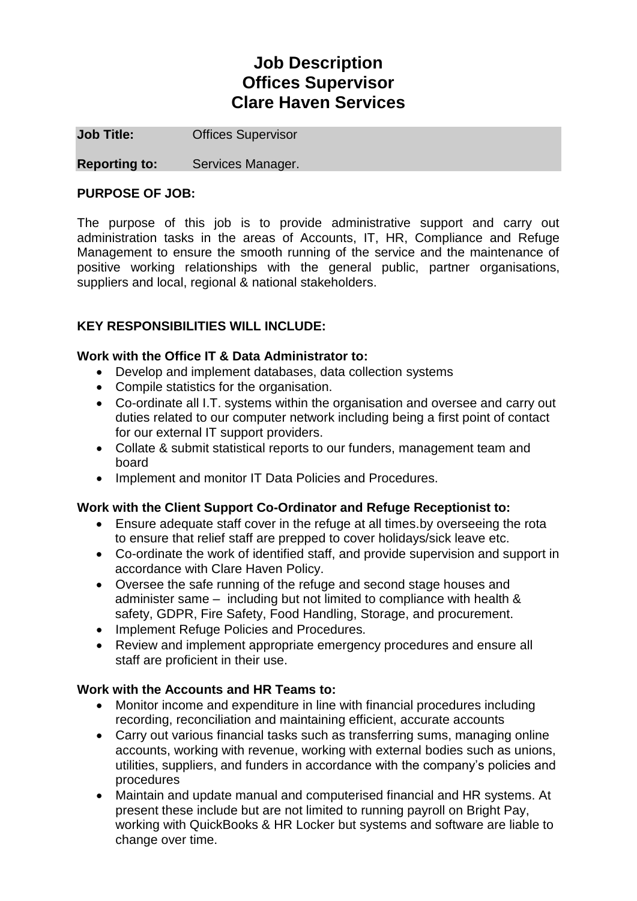# **Job Description Offices Supervisor Clare Haven Services**

**Job Title: Offices Supervisor** 

**Reporting to:** Services Manager.

### **PURPOSE OF JOB:**

The purpose of this job is to provide administrative support and carry out administration tasks in the areas of Accounts, IT, HR, Compliance and Refuge Management to ensure the smooth running of the service and the maintenance of positive working relationships with the general public, partner organisations, suppliers and local, regional & national stakeholders.

## **KEY RESPONSIBILITIES WILL INCLUDE:**

#### **Work with the Office IT & Data Administrator to:**

- Develop and implement databases, data collection systems
- Compile statistics for the organisation.
- Co-ordinate all I.T. systems within the organisation and oversee and carry out duties related to our computer network including being a first point of contact for our external IT support providers.
- Collate & submit statistical reports to our funders, management team and board
- Implement and monitor IT Data Policies and Procedures.

#### **Work with the Client Support Co-Ordinator and Refuge Receptionist to:**

- Ensure adequate staff cover in the refuge at all times.by overseeing the rota to ensure that relief staff are prepped to cover holidays/sick leave etc.
- Co-ordinate the work of identified staff, and provide supervision and support in accordance with Clare Haven Policy.
- Oversee the safe running of the refuge and second stage houses and administer same – including but not limited to compliance with health & safety, GDPR, Fire Safety, Food Handling, Storage, and procurement.
- Implement Refuge Policies and Procedures.
- Review and implement appropriate emergency procedures and ensure all staff are proficient in their use.

## **Work with the Accounts and HR Teams to:**

- Monitor income and expenditure in line with financial procedures including recording, reconciliation and maintaining efficient, accurate accounts
- Carry out various financial tasks such as transferring sums, managing online accounts, working with revenue, working with external bodies such as unions, utilities, suppliers, and funders in accordance with the company's policies and procedures
- Maintain and update manual and computerised financial and HR systems. At present these include but are not limited to running payroll on Bright Pay, working with QuickBooks & HR Locker but systems and software are liable to change over time.